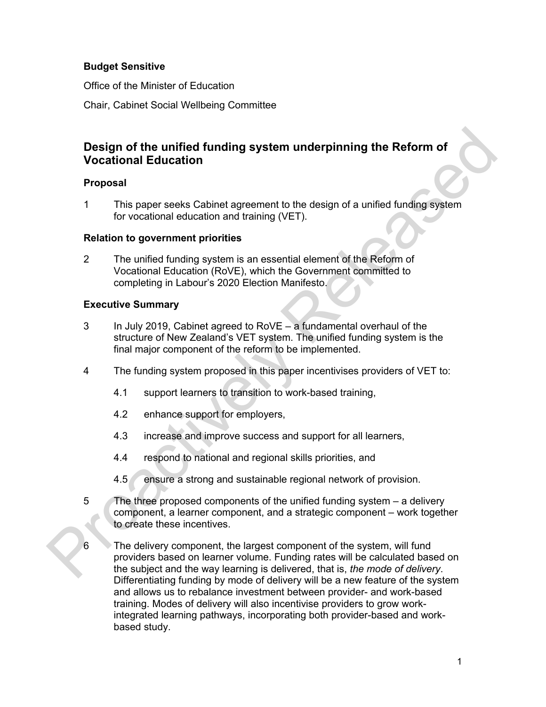# **Budget Sensitive**

Office of the Minister of Education

Chair, Cabinet Social Wellbeing Committee

# **Design of the unified funding system underpinning the Reform of Vocational Education**

# **Proposal**

1 This paper seeks Cabinet agreement to the design of a unified funding system for vocational education and training (VET).

# **Relation to government priorities**

2 The unified funding system is an essential element of the Reform of Vocational Education (RoVE), which the Government committed to completing in Labour's 2020 Election Manifesto.

# **Executive Summary**

- 3 In July 2019, Cabinet agreed to RoVE a fundamental overhaul of the structure of New Zealand's VET system. The unified funding system is the final major component of the reform to be implemented.
- 4 The funding system proposed in this paper incentivises providers of VET to:
	- 4.1 support learners to transition to work-based training,
	- 4.2 enhance support for employers,
	- 4.3 increase and improve success and support for all learners,
	- 4.4 respond to national and regional skills priorities, and
	- 4.5 ensure a strong and sustainable regional network of provision.
- 5 The three proposed components of the unified funding system a delivery component, a learner component, and a strategic component – work together to create these incentives.
- 6 The delivery component, the largest component of the system, will fund providers based on learner volume. Funding rates will be calculated based on the subject and the way learning is delivered, that is, *the mode of delivery*. Differentiating funding by mode of delivery will be a new feature of the system and allows us to rebalance investment between provider- and work-based training. Modes of delivery will also incentivise providers to grow workintegrated learning pathways, incorporating both provider-based and workbased study. Design of the unified funding system underpinning the Reform of<br>Vocational Education<br>
Proposal<br>
1 This paper seeks Cabinet agreement to the design of a unified funding system<br>
for vocational education and training (VET).<br>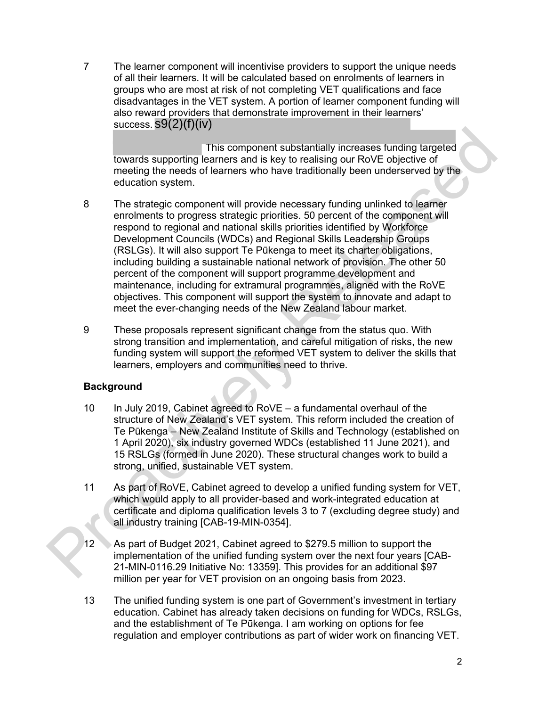7 The learner component will incentivise providers to support the unique needs of all their learners. It will be calculated based on enrolments of learners in groups who are most at risk of not completing VET qualifications and face disadvantages in the VET system. A portion of learner component funding will also reward providers that demonstrate improvement in their learners' success. s9(2)(f)(iv)

This component substantially increases funding targeted towards supporting learners and is key to realising our RoVE objective of meeting the needs of learners who have traditionally been underserved by the education system.

- 8 The strategic component will provide necessary funding unlinked to learner enrolments to progress strategic priorities. 50 percent of the component will respond to regional and national skills priorities identified by Workforce Development Councils (WDCs) and Regional Skills Leadership Groups (RSLGs). It will also support Te Pūkenga to meet its charter obligations, including building a sustainable national network of provision. The other 50 percent of the component will support programme development and maintenance, including for extramural programmes, aligned with the RoVE objectives. This component will support the system to innovate and adapt to meet the ever-changing needs of the New Zealand labour market. This component substantially increases funding largeled<br>meeting subspaces and is they to realising our RoVE objective of<br>meeting the needs of learnest and is two to realising our RoVE objective of<br>meeting the needs of lea
	- 9 These proposals represent significant change from the status quo. With strong transition and implementation, and careful mitigation of risks, the new funding system will support the reformed VET system to deliver the skills that learners, employers and communities need to thrive.

# **Background**

- 10 In July 2019, Cabinet agreed to RoVE a fundamental overhaul of the structure of New Zealand's VET system. This reform included the creation of Te Pūkenga – New Zealand Institute of Skills and Technology (established on 1 April 2020), six industry governed WDCs (established 11 June 2021), and 15 RSLGs (formed in June 2020). These structural changes work to build a strong, unified, sustainable VET system.
- 11 As part of RoVE, Cabinet agreed to develop a unified funding system for VET, which would apply to all provider-based and work-integrated education at certificate and diploma qualification levels 3 to 7 (excluding degree study) and all industry training [CAB-19-MIN-0354].
- 12 As part of Budget 2021, Cabinet agreed to \$279.5 million to support the implementation of the unified funding system over the next four years [CAB-21-MIN-0116.29 Initiative No: 13359]. This provides for an additional \$97 million per year for VET provision on an ongoing basis from 2023.
- 13 The unified funding system is one part of Government's investment in tertiary education. Cabinet has already taken decisions on funding for WDCs, RSLGs, and the establishment of Te Pūkenga. I am working on options for fee regulation and employer contributions as part of wider work on financing VET.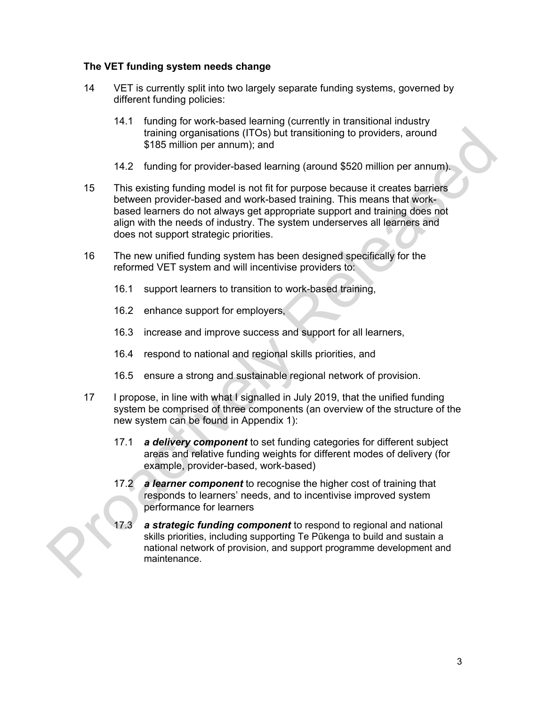# **The VET funding system needs change**

- 14 VET is currently split into two largely separate funding systems, governed by different funding policies:
	- 14.1 funding for work-based learning (currently in transitional industry training organisations (ITOs) but transitioning to providers, around \$185 million per annum); and
	- 14.2 funding for provider-based learning (around \$520 million per annum).
- 15 This existing funding model is not fit for purpose because it creates barriers between provider-based and work-based training. This means that workbased learners do not always get appropriate support and training does not align with the needs of industry. The system underserves all learners and does not support strategic priorities. It transitioning to providers, around<br>
Ining (around \$520 million per annum).<br>
In purpose because it creates barriers<br>
sed training. This means that work-<br>
ropriate support and training does not<br>
system underserves all lea
- 16 The new unified funding system has been designed specifically for the reformed VET system and will incentivise providers to:
	- 16.1 support learners to transition to work-based training,
	- 16.2 enhance support for employers,
	- 16.3 increase and improve success and support for all learners,
	- 16.4 respond to national and regional skills priorities, and
	- 16.5 ensure a strong and sustainable regional network of provision.
- 17 I propose, in line with what I signalled in July 2019, that the unified funding system be comprised of three components (an overview of the structure of the new system can be found in Appendix 1):
	- 17.1 *a delivery component* to set funding categories for different subject areas and relative funding weights for different modes of delivery (for example, provider-based, work-based)
	- 17.2 *a learner component* to recognise the higher cost of training that responds to learners' needs, and to incentivise improved system performance for learners
- 17.3 *a strategic funding component* to respond to regional and national skills priorities, including supporting Te Pūkenga to build and sustain a national network of provision, and support programme development and 16.4 respond to national and regional skills<br>
16.5 ensure a strong and sustainable region<br>
17 I propose, in line with what I signalled in July<br>
system be comprised of three components (a<br>
new system can be found in Appendi maintenance.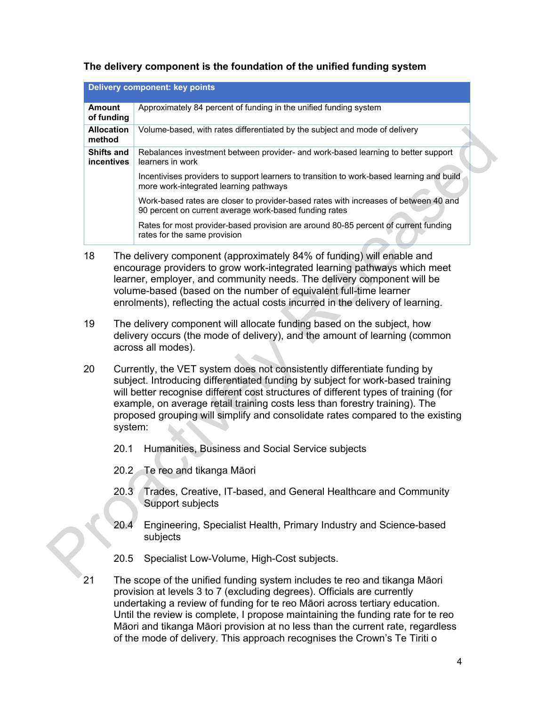# **The delivery component is the foundation of the unified funding system**

|                                 |                                                                                                                                                                                                                                                                                                                                                                                                                               | <b>Delivery component: key points</b>                                                                                                                                                                                                                                                                                                                                              |  |
|---------------------------------|-------------------------------------------------------------------------------------------------------------------------------------------------------------------------------------------------------------------------------------------------------------------------------------------------------------------------------------------------------------------------------------------------------------------------------|------------------------------------------------------------------------------------------------------------------------------------------------------------------------------------------------------------------------------------------------------------------------------------------------------------------------------------------------------------------------------------|--|
| <b>Amount</b><br>of funding     |                                                                                                                                                                                                                                                                                                                                                                                                                               | Approximately 84 percent of funding in the unified funding system                                                                                                                                                                                                                                                                                                                  |  |
| method                          | <b>Allocation</b>                                                                                                                                                                                                                                                                                                                                                                                                             | Volume-based, with rates differentiated by the subject and mode of delivery                                                                                                                                                                                                                                                                                                        |  |
| <b>Shifts and</b><br>incentives |                                                                                                                                                                                                                                                                                                                                                                                                                               | Rebalances investment between provider- and work-based learning to better support<br>learners in work                                                                                                                                                                                                                                                                              |  |
|                                 |                                                                                                                                                                                                                                                                                                                                                                                                                               | Incentivises providers to support learners to transition to work-based learning and build<br>more work-integrated learning pathways                                                                                                                                                                                                                                                |  |
|                                 |                                                                                                                                                                                                                                                                                                                                                                                                                               | Work-based rates are closer to provider-based rates with increases of between 40 and<br>90 percent on current average work-based funding rates                                                                                                                                                                                                                                     |  |
|                                 |                                                                                                                                                                                                                                                                                                                                                                                                                               | Rates for most provider-based provision are around 80-85 percent of current funding<br>rates for the same provision                                                                                                                                                                                                                                                                |  |
| 18                              |                                                                                                                                                                                                                                                                                                                                                                                                                               | The delivery component (approximately 84% of funding) will enable and<br>encourage providers to grow work-integrated learning pathways which meet<br>learner, employer, and community needs. The delivery component will be<br>volume-based (based on the number of equivalent full-time learner<br>enrolments), reflecting the actual costs incurred in the delivery of learning. |  |
| 19                              |                                                                                                                                                                                                                                                                                                                                                                                                                               | The delivery component will allocate funding based on the subject, how<br>delivery occurs (the mode of delivery), and the amount of learning (common<br>across all modes).                                                                                                                                                                                                         |  |
| 20                              | Currently, the VET system does not consistently differentiate funding by<br>subject. Introducing differentiated funding by subject for work-based training<br>will better recognise different cost structures of different types of training (for<br>example, on average retail training costs less than forestry training). The<br>proposed grouping will simplify and consolidate rates compared to the existing<br>system: |                                                                                                                                                                                                                                                                                                                                                                                    |  |
|                                 | 20.1                                                                                                                                                                                                                                                                                                                                                                                                                          | Humanities, Business and Social Service subjects                                                                                                                                                                                                                                                                                                                                   |  |
|                                 | 20.2                                                                                                                                                                                                                                                                                                                                                                                                                          | Te reo and tikanga Māori                                                                                                                                                                                                                                                                                                                                                           |  |
|                                 | 20.3                                                                                                                                                                                                                                                                                                                                                                                                                          | Trades, Creative, IT-based, and General Healthcare and Community<br>Support subjects                                                                                                                                                                                                                                                                                               |  |
|                                 | 20.4                                                                                                                                                                                                                                                                                                                                                                                                                          | Engineering, Specialist Health, Primary Industry and Science-based<br>subjects                                                                                                                                                                                                                                                                                                     |  |
|                                 | 20.5                                                                                                                                                                                                                                                                                                                                                                                                                          | Specialist Low-Volume, High-Cost subjects.                                                                                                                                                                                                                                                                                                                                         |  |
|                                 |                                                                                                                                                                                                                                                                                                                                                                                                                               |                                                                                                                                                                                                                                                                                                                                                                                    |  |

- 18 The delivery component (approximately 84% of funding) will enable and encourage providers to grow work-integrated learning pathways which meet learner, employer, and community needs. The delivery component will be volume-based (based on the number of equivalent full-time learner enrolments), reflecting the actual costs incurred in the delivery of learning.
- 19 The delivery component will allocate funding based on the subject, how delivery occurs (the mode of delivery), and the amount of learning (common across all modes).
- 20 Currently, the VET system does not consistently differentiate funding by subject. Introducing differentiated funding by subject for work-based training will better recognise different cost structures of different types of training (for example, on average retail training costs less than forestry training). The proposed grouping will simplify and consolidate rates compared to the existing system:
	- 20.1 Humanities, Business and Social Service subjects
	- 20.2 Te reo and tikanga Māori
	- 20.3 Trades, Creative, IT-based, and General Healthcare and Community Support subjects
	- 20.4 Engineering, Specialist Health, Primary Industry and Science-based subjects
	- 20.5 Specialist Low-Volume, High-Cost subjects.
- 21 The scope of the unified funding system includes te reo and tikanga Māori provision at levels 3 to 7 (excluding degrees). Officials are currently undertaking a review of funding for te reo Māori across tertiary education. Until the review is complete, I propose maintaining the funding rate for te reo Māori and tikanga Māori provision at no less than the current rate, regardless of the mode of delivery. This approach recognises the Crown's Te Tiriti o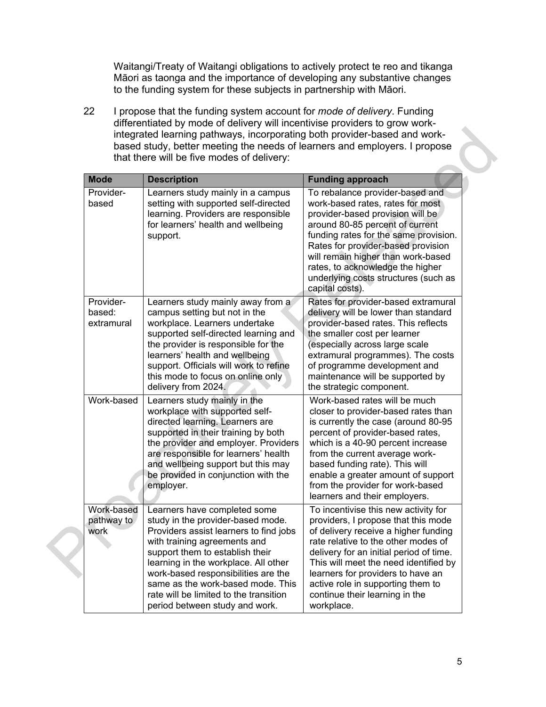Waitangi/Treaty of Waitangi obligations to actively protect te reo and tikanga Māori as taonga and the importance of developing any substantive changes to the funding system for these subjects in partnership with Māori.

22 I propose that the funding system account for *mode of delivery*. Funding differentiated by mode of delivery will incentivise providers to grow workintegrated learning pathways, incorporating both provider-based and workbased study, better meeting the needs of learners and employers. I propose that there will be five modes of delivery:

| based study, better meeting the needs of learners and employers. I propose<br>that there will be five modes of delivery: |                                                                                                                                                                                                                                                                                                                                                                                |                                                                                                                                                                                                                                                                                                                                                                          |  |
|--------------------------------------------------------------------------------------------------------------------------|--------------------------------------------------------------------------------------------------------------------------------------------------------------------------------------------------------------------------------------------------------------------------------------------------------------------------------------------------------------------------------|--------------------------------------------------------------------------------------------------------------------------------------------------------------------------------------------------------------------------------------------------------------------------------------------------------------------------------------------------------------------------|--|
| <b>Mode</b>                                                                                                              | <b>Description</b>                                                                                                                                                                                                                                                                                                                                                             | <b>Funding approach</b>                                                                                                                                                                                                                                                                                                                                                  |  |
| Provider-<br>based                                                                                                       | Learners study mainly in a campus<br>setting with supported self-directed<br>learning. Providers are responsible<br>for learners' health and wellbeing<br>support.                                                                                                                                                                                                             | To rebalance provider-based and<br>work-based rates, rates for most<br>provider-based provision will be<br>around 80-85 percent of current<br>funding rates for the same provision.<br>Rates for provider-based provision<br>will remain higher than work-based<br>rates, to acknowledge the higher<br>underlying costs structures (such as<br>capital costs).           |  |
| Provider-<br>based:<br>extramural                                                                                        | Learners study mainly away from a<br>campus setting but not in the<br>workplace. Learners undertake<br>supported self-directed learning and<br>the provider is responsible for the<br>learners' health and wellbeing<br>support. Officials will work to refine<br>this mode to focus on online only<br>delivery from 2024.                                                     | Rates for provider-based extramural<br>delivery will be lower than standard<br>provider-based rates. This reflects<br>the smaller cost per learner<br>(especially across large scale<br>extramural programmes). The costs<br>of programme development and<br>maintenance will be supported by<br>the strategic component.                                                |  |
| Work-based                                                                                                               | Learners study mainly in the<br>workplace with supported self-<br>directed learning. Learners are<br>supported in their training by both<br>the provider and employer. Providers<br>are responsible for learners' health<br>and wellbeing support but this may<br>be provided in conjunction with the<br>employer.                                                             | Work-based rates will be much<br>closer to provider-based rates than<br>is currently the case (around 80-95<br>percent of provider-based rates,<br>which is a 40-90 percent increase<br>from the current average work-<br>based funding rate). This will<br>enable a greater amount of support<br>from the provider for work-based<br>learners and their employers.      |  |
| Work-based<br>pathway to<br>work                                                                                         | Learners have completed some<br>study in the provider-based mode.<br>Providers assist learners to find jobs<br>with training agreements and<br>support them to establish their<br>learning in the workplace. All other<br>work-based responsibilities are the<br>same as the work-based mode. This<br>rate will be limited to the transition<br>period between study and work. | To incentivise this new activity for<br>providers, I propose that this mode<br>of delivery receive a higher funding<br>rate relative to the other modes of<br>delivery for an initial period of time.<br>This will meet the need identified by<br>learners for providers to have an<br>active role in supporting them to<br>continue their learning in the<br>workplace. |  |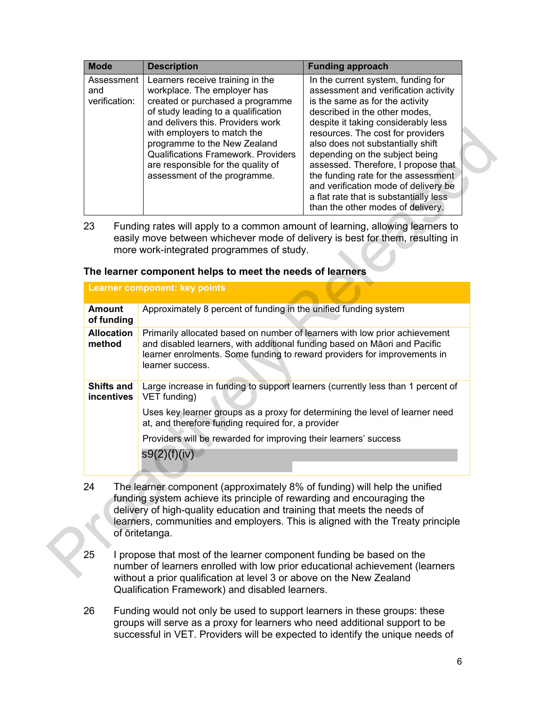| <b>Mode</b>                        | <b>Description</b>                                                                                                                                                                                                                                                                                                                                                 | <b>Funding approach</b>                                                                                                                                                                                                                                                                                                                                                                                                                                                                                |
|------------------------------------|--------------------------------------------------------------------------------------------------------------------------------------------------------------------------------------------------------------------------------------------------------------------------------------------------------------------------------------------------------------------|--------------------------------------------------------------------------------------------------------------------------------------------------------------------------------------------------------------------------------------------------------------------------------------------------------------------------------------------------------------------------------------------------------------------------------------------------------------------------------------------------------|
| Assessment<br>and<br>verification: | Learners receive training in the<br>workplace. The employer has<br>created or purchased a programme<br>of study leading to a qualification<br>and delivers this. Providers work<br>with employers to match the<br>programme to the New Zealand<br><b>Qualifications Framework. Providers</b><br>are responsible for the quality of<br>assessment of the programme. | In the current system, funding for<br>assessment and verification activity<br>is the same as for the activity<br>described in the other modes,<br>despite it taking considerably less<br>resources. The cost for providers<br>also does not substantially shift<br>depending on the subject being<br>assessed. Therefore, I propose that<br>the funding rate for the assessment<br>and verification mode of delivery be<br>a flat rate that is substantially less<br>than the other modes of delivery. |

#### **The learner component helps to meet the needs of learners**

|                                 | resources. The cost for providers<br>with employers to match the<br>programme to the New Zealand<br>also does not substantially shift<br><b>Qualifications Framework. Providers</b><br>depending on the subject being<br>are responsible for the quality of<br>assessed. Therefore, I propose that<br>the funding rate for the assessment<br>assessment of the programme.<br>and verification mode of delivery be<br>a flat rate that is substantially less<br>than the other modes of delivery. |
|---------------------------------|--------------------------------------------------------------------------------------------------------------------------------------------------------------------------------------------------------------------------------------------------------------------------------------------------------------------------------------------------------------------------------------------------------------------------------------------------------------------------------------------------|
| 23                              | Funding rates will apply to a common amount of learning, allowing learners to<br>easily move between whichever mode of delivery is best for them, resulting in<br>more work-integrated programmes of study.<br>The learner component helps to meet the needs of learners                                                                                                                                                                                                                         |
|                                 | Learner component: key points                                                                                                                                                                                                                                                                                                                                                                                                                                                                    |
| <b>Amount</b><br>of funding     | Approximately 8 percent of funding in the unified funding system                                                                                                                                                                                                                                                                                                                                                                                                                                 |
| <b>Allocation</b><br>method     | Primarily allocated based on number of learners with low prior achievement<br>and disabled learners, with additional funding based on Māori and Pacific<br>learner enrolments. Some funding to reward providers for improvements in<br>learner success.                                                                                                                                                                                                                                          |
| <b>Shifts and</b><br>incentives | Large increase in funding to support learners (currently less than 1 percent of<br>VET funding)<br>Uses key learner groups as a proxy for determining the level of learner need<br>at, and therefore funding required for, a provider                                                                                                                                                                                                                                                            |
|                                 | Providers will be rewarded for improving their learners' success                                                                                                                                                                                                                                                                                                                                                                                                                                 |
|                                 | s9(2)(f)(iv)                                                                                                                                                                                                                                                                                                                                                                                                                                                                                     |
| 24                              | The learner component (approximately 8% of funding) will help the unified<br>funding system achieve its principle of rewarding and encouraging the<br>delivery of high-quality education and training that meets the needs of<br>learners, communities and employers. This is aligned with the Treaty principle<br>of oritetanga.                                                                                                                                                                |
| 25                              | I propose that most of the learner component funding be based on the<br>number of learners enrolled with low prior educational achievement (learners<br>without a prior qualification at lovel 3 or above an the New Zealand                                                                                                                                                                                                                                                                     |

- 24 The learner component (approximately 8% of funding) will help the unified funding system achieve its principle of rewarding and encouraging the delivery of high-quality education and training that meets the needs of learners, communities and employers. This is aligned with the Treaty principle of ōritetanga.
- 25 I propose that most of the learner component funding be based on the number of learners enrolled with low prior educational achievement (learners without a prior qualification at level 3 or above on the New Zealand Qualification Framework) and disabled learners.
- 26 Funding would not only be used to support learners in these groups: these groups will serve as a proxy for learners who need additional support to be successful in VET. Providers will be expected to identify the unique needs of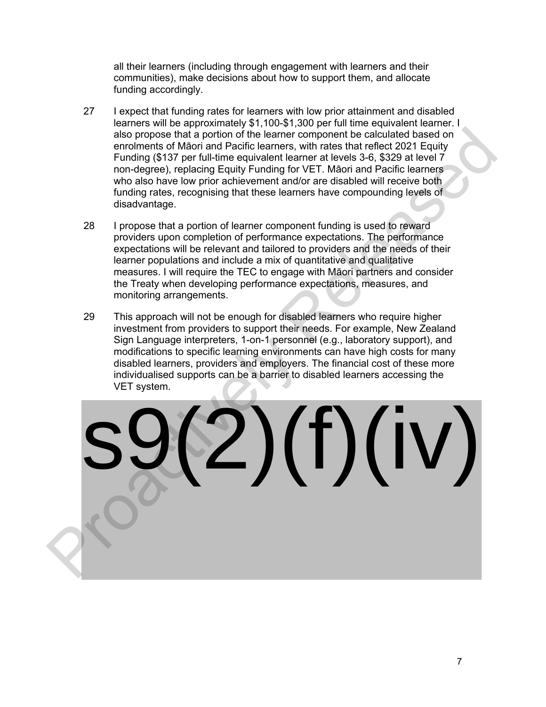all their learners (including through engagement with learners and their communities), make decisions about how to support them, and allocate funding accordingly.

- 27 I expect that funding rates for learners with low prior attainment and disabled learners will be approximately \$1,100-\$1,300 per full time equivalent learner. I also propose that a portion of the learner component be calculated based on enrolments of Māori and Pacific learners, with rates that reflect 2021 Equity Funding (\$137 per full-time equivalent learner at levels 3-6, \$329 at level 7 non-degree), replacing Equity Funding for VET. Māori and Pacific learners who also have low prior achievement and/or are disabled will receive both funding rates, recognising that these learners have compounding levels of disadvantage.
- 28 I propose that a portion of learner component funding is used to reward providers upon completion of performance expectations. The performance expectations will be relevant and tailored to providers and the needs of their learner populations and include a mix of quantitative and qualitative measures. I will require the TEC to engage with Māori partners and consider the Treaty when developing performance expectations, measures, and monitoring arrangements.
- 29 This approach will not be enough for disabled learners who require higher investment from providers to support their needs. For example, New Zealand Sign Language interpreters, 1-on-1 personnel (e.g., laboratory support), and modifications to specific learning environments can have high costs for many disabled learners, providers and employers. The financial cost of these more individualised supports can be a barrier to disabled learners accessing the VET system.

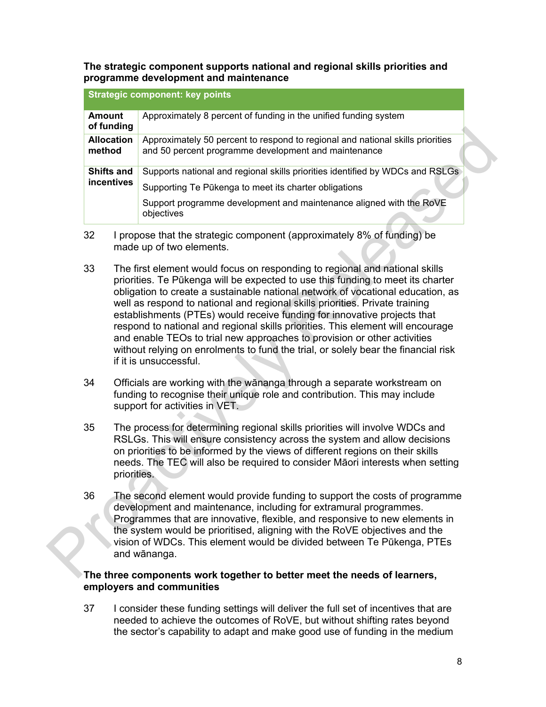**The strategic component supports national and regional skills priorities and programme development and maintenance** 

|                                 | <b>Strategic component: key points</b>                                                                                                                                                                                      |
|---------------------------------|-----------------------------------------------------------------------------------------------------------------------------------------------------------------------------------------------------------------------------|
| <b>Amount</b><br>of funding     | Approximately 8 percent of funding in the unified funding system                                                                                                                                                            |
| <b>Allocation</b><br>method     | Approximately 50 percent to respond to regional and national skills priorities<br>and 50 percent programme development and maintenance                                                                                      |
| <b>Shifts and</b><br>incentives | Supports national and regional skills priorities identified by WDCs and RSLGs<br>Supporting Te Pūkenga to meet its charter obligations<br>Support programme development and maintenance aligned with the RoVE<br>objectives |

- 32 I propose that the strategic component (approximately 8% of funding) be made up of two elements.
- 33 The first element would focus on responding to regional and national skills priorities. Te Pūkenga will be expected to use this funding to meet its charter obligation to create a sustainable national network of vocational education, as well as respond to national and regional skills priorities. Private training establishments (PTEs) would receive funding for innovative projects that respond to national and regional skills priorities. This element will encourage and enable TEOs to trial new approaches to provision or other activities without relying on enrolments to fund the trial, or solely bear the financial risk if it is unsuccessful. For underline the proximately 50 percent to regional and national skills priorities<br>
and to be rocent programme developentin and maintenance<br>
Shifts and Supports national and regional skills priorities dentified by WDCs an
	- 34 Officials are working with the wānanga through a separate workstream on funding to recognise their unique role and contribution. This may include support for activities in VET.
	- 35 The process for determining regional skills priorities will involve WDCs and RSLGs. This will ensure consistency across the system and allow decisions on priorities to be informed by the views of different regions on their skills needs. The TEC will also be required to consider Māori interests when setting priorities.
	- 36 The second element would provide funding to support the costs of programme development and maintenance, including for extramural programmes. Programmes that are innovative, flexible, and responsive to new elements in the system would be prioritised, aligning with the RoVE objectives and the vision of WDCs. This element would be divided between Te Pūkenga, PTEs and wānanga.

# **The three components work together to better meet the needs of learners, employers and communities**

37 I consider these funding settings will deliver the full set of incentives that are needed to achieve the outcomes of RoVE, but without shifting rates beyond the sector's capability to adapt and make good use of funding in the medium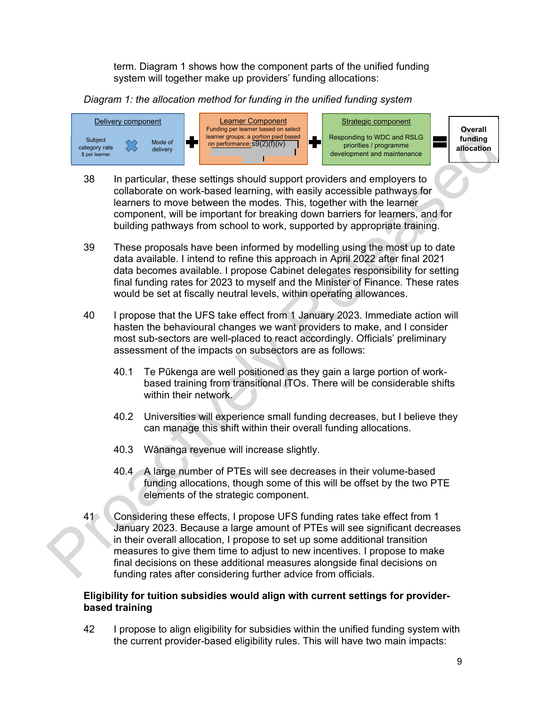term. Diagram 1 shows how the component parts of the unified funding system will together make up providers' funding allocations:

# *Diagram 1: the allocation method for funding in the unified funding system*



- 38 In particular, these settings should support providers and employers to collaborate on work-based learning, with easily accessible pathways for learners to move between the modes. This, together with the learner component, will be important for breaking down barriers for learners, and for building pathways from school to work, supported by appropriate training.
- 39 These proposals have been informed by modelling using the most up to date data available. I intend to refine this approach in April 2022 after final 2021 data becomes available. I propose Cabinet delegates responsibility for setting final funding rates for 2023 to myself and the Minister of Finance. These rates would be set at fiscally neutral levels, within operating allowances.
- 40 I propose that the UFS take effect from 1 January 2023. Immediate action will hasten the behavioural changes we want providers to make, and I consider most sub-sectors are well-placed to react accordingly. Officials' preliminary assessment of the impacts on subsectors are as follows:
	- 40.1 Te Pūkenga are well positioned as they gain a large portion of workbased training from transitional ITOs. There will be considerable shifts within their network.
	- 40.2 Universities will experience small funding decreases, but I believe they can manage this shift within their overall funding allocations.
	- 40.3 Wānanga revenue will increase slightly.
	- 40.4 A large number of PTEs will see decreases in their volume-based funding allocations, though some of this will be offset by the two PTE elements of the strategic component.
- 41 Considering these effects, I propose UFS funding rates take effect from 1 January 2023. Because a large amount of PTEs will see significant decreases in their overall allocation, I propose to set up some additional transition measures to give them time to adjust to new incentives. I propose to make final decisions on these additional measures alongside final decisions on funding rates after considering further advice from officials. The procedure of the state of the state of the state of the state of the state of the state of the state of the state of the state of the state of the state of the state of the state of the state of the state of the state

# **Eligibility for tuition subsidies would align with current settings for providerbased training**

42 I propose to align eligibility for subsidies within the unified funding system with the current provider-based eligibility rules. This will have two main impacts: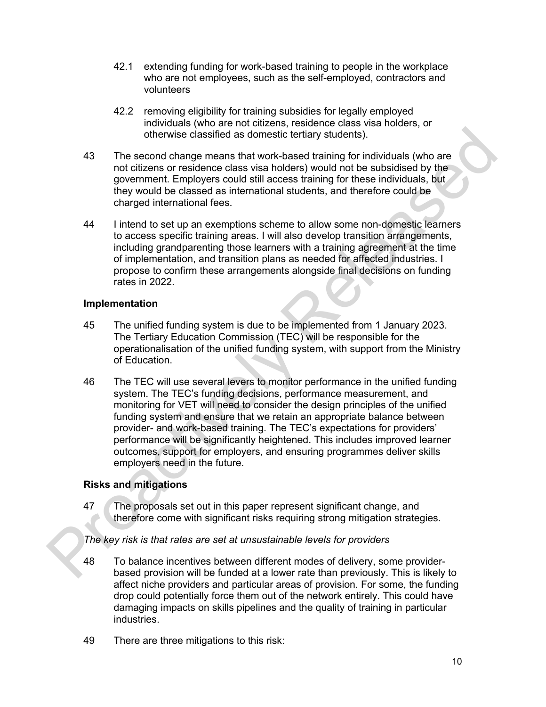- 42.1 extending funding for work-based training to people in the workplace who are not employees, such as the self-employed, contractors and volunteers
- 42.2 removing eligibility for training subsidies for legally employed individuals (who are not citizens, residence class visa holders, or otherwise classified as domestic tertiary students).
- 43 The second change means that work-based training for individuals (who are not citizens or residence class visa holders) would not be subsidised by the government. Employers could still access training for these individuals, but they would be classed as international students, and therefore could be charged international fees.
- 44 I intend to set up an exemptions scheme to allow some non-domestic learners to access specific training areas. I will also develop transition arrangements, including grandparenting those learners with a training agreement at the time of implementation, and transition plans as needed for affected industries. I propose to confirm these arrangements alongside final decisions on funding rates in 2022.

#### **Implementation**

- 45 The unified funding system is due to be implemented from 1 January 2023. The Tertiary Education Commission (TEC) will be responsible for the operationalisation of the unified funding system, with support from the Ministry of Education.
- 46 The TEC will use several levers to monitor performance in the unified funding system. The TEC's funding decisions, performance measurement, and monitoring for VET will need to consider the design principles of the unified funding system and ensure that we retain an appropriate balance between provider- and work-based training. The TEC's expectations for providers' performance will be significantly heightened. This includes improved learner outcomes, support for employers, and ensuring programmes deliver skills employers need in the future. of the second change means that work-based training for individuals (who are<br>not citizens or residence dass visa holders) would not be subsidised by the<br>governmet. Employers could still access training for interesting to t

#### **Risks and mitigations**

47 The proposals set out in this paper represent significant change, and therefore come with significant risks requiring strong mitigation strategies.

#### *The key risk is that rates are set at unsustainable levels for providers*

- 48 To balance incentives between different modes of delivery, some providerbased provision will be funded at a lower rate than previously. This is likely to affect niche providers and particular areas of provision. For some, the funding drop could potentially force them out of the network entirely. This could have damaging impacts on skills pipelines and the quality of training in particular industries.
- 49 There are three mitigations to this risk: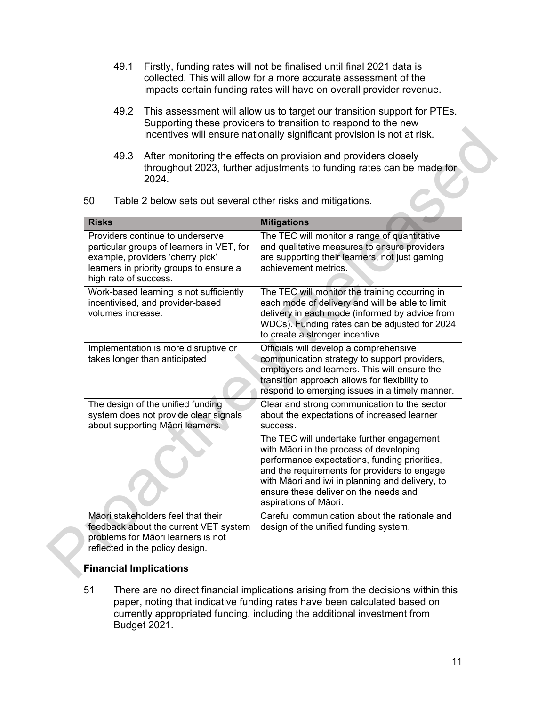- 49.1 Firstly, funding rates will not be finalised until final 2021 data is collected. This will allow for a more accurate assessment of the impacts certain funding rates will have on overall provider revenue.
- 49.2 This assessment will allow us to target our transition support for PTEs. Supporting these providers to transition to respond to the new incentives will ensure nationally significant provision is not at risk.
- 49.3 After monitoring the effects on provision and providers closely throughout 2023, further adjustments to funding rates can be made for 2024.

| 49.3<br>2024.                                                                                                                                                                         | After monitoring the effects on provision and providers closely<br>throughout 2023, further adjustments to funding rates can be made for                                                                                                                                                                   |
|---------------------------------------------------------------------------------------------------------------------------------------------------------------------------------------|------------------------------------------------------------------------------------------------------------------------------------------------------------------------------------------------------------------------------------------------------------------------------------------------------------|
| 50<br>Table 2 below sets out several other risks and mitigations.                                                                                                                     |                                                                                                                                                                                                                                                                                                            |
| <b>Risks</b>                                                                                                                                                                          | <b>Mitigations</b>                                                                                                                                                                                                                                                                                         |
| Providers continue to underserve<br>particular groups of learners in VET, for<br>example, providers 'cherry pick'<br>learners in priority groups to ensure a<br>high rate of success. | The TEC will monitor a range of quantitative<br>and qualitative measures to ensure providers<br>are supporting their learners, not just gaming<br>achievement metrics.                                                                                                                                     |
| Work-based learning is not sufficiently<br>incentivised, and provider-based<br>volumes increase.                                                                                      | The TEC will monitor the training occurring in<br>each mode of delivery and will be able to limit<br>delivery in each mode (informed by advice from<br>WDCs). Funding rates can be adjusted for 2024<br>to create a stronger incentive.                                                                    |
| Implementation is more disruptive or<br>takes longer than anticipated                                                                                                                 | Officials will develop a comprehensive<br>communication strategy to support providers,<br>employers and learners. This will ensure the<br>transition approach allows for flexibility to<br>respond to emerging issues in a timely manner.                                                                  |
| The design of the unified funding<br>system does not provide clear signals<br>about supporting Māori learners.                                                                        | Clear and strong communication to the sector<br>about the expectations of increased learner<br>success.                                                                                                                                                                                                    |
|                                                                                                                                                                                       | The TEC will undertake further engagement<br>with Māori in the process of developing<br>performance expectations, funding priorities,<br>and the requirements for providers to engage<br>with Māori and iwi in planning and delivery, to<br>ensure these deliver on the needs and<br>aspirations of Māori. |
| Māori stakeholders feel that their<br>feedback about the current VET system<br>problems for Māori learners is not<br>reflected in the policy design.                                  | Careful communication about the rationale and<br>design of the unified funding system.                                                                                                                                                                                                                     |

#### **Financial Implications**

51 There are no direct financial implications arising from the decisions within this paper, noting that indicative funding rates have been calculated based on currently appropriated funding, including the additional investment from Budget 2021.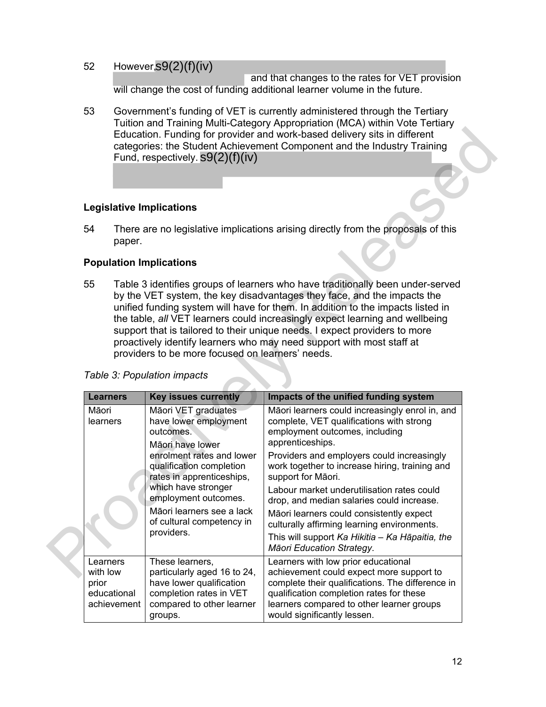# 52 However, s9(2)(f)(iv)

 and that changes to the rates for VET provision will change the cost of funding additional learner volume in the future.

53 Government's funding of VET is currently administered through the Tertiary Tuition and Training Multi-Category Appropriation (MCA) within Vote Tertiary Education. Funding for provider and work-based delivery sits in different categories: the Student Achievement Component and the Industry Training Fund, respectively. s9(2)(f)(iv)

#### **Legislative Implications**

#### **Population Implications**

|       |                                                                                                                                                                                                                                                                                                                                                                                                                                                                                                                                                                        | Fund, respectively. $S9(2)(f)(iv)$                                                                     | Education. Funding for provider and work-based delivery sits in different<br>categories: the Student Achievement Component and the Industry Training |
|-------|------------------------------------------------------------------------------------------------------------------------------------------------------------------------------------------------------------------------------------------------------------------------------------------------------------------------------------------------------------------------------------------------------------------------------------------------------------------------------------------------------------------------------------------------------------------------|--------------------------------------------------------------------------------------------------------|------------------------------------------------------------------------------------------------------------------------------------------------------|
|       |                                                                                                                                                                                                                                                                                                                                                                                                                                                                                                                                                                        | <b>Legislative Implications</b>                                                                        |                                                                                                                                                      |
| 54    | paper.                                                                                                                                                                                                                                                                                                                                                                                                                                                                                                                                                                 |                                                                                                        | There are no legislative implications arising directly from the proposals of this                                                                    |
|       |                                                                                                                                                                                                                                                                                                                                                                                                                                                                                                                                                                        | <b>Population Implications</b>                                                                         |                                                                                                                                                      |
| 55    | Table 3 identifies groups of learners who have traditionally been under-served<br>by the VET system, the key disadvantages they face, and the impacts the<br>unified funding system will have for them. In addition to the impacts listed in<br>the table, all VET learners could increasingly expect learning and wellbeing<br>support that is tailored to their unique needs. I expect providers to more<br>proactively identify learners who may need support with most staff at<br>providers to be more focused on learners' needs.<br>Table 3: Population impacts |                                                                                                        |                                                                                                                                                      |
|       |                                                                                                                                                                                                                                                                                                                                                                                                                                                                                                                                                                        |                                                                                                        |                                                                                                                                                      |
|       | <b>Learners</b>                                                                                                                                                                                                                                                                                                                                                                                                                                                                                                                                                        | <b>Key issues currently</b>                                                                            | Impacts of the unified funding system                                                                                                                |
| Māori | learners                                                                                                                                                                                                                                                                                                                                                                                                                                                                                                                                                               | Māori VET graduates<br>have lower employment<br>outcomes.                                              | Māori learners could increasingly enrol in, and<br>complete, VET qualifications with strong<br>employment outcomes, including                        |
|       |                                                                                                                                                                                                                                                                                                                                                                                                                                                                                                                                                                        | Māori have lower<br>enrolment rates and lower<br>qualification completion<br>rates in apprenticeships, | apprenticeships.<br>Providers and employers could increasingly<br>work together to increase hiring, training and<br>support for Māori.               |
|       |                                                                                                                                                                                                                                                                                                                                                                                                                                                                                                                                                                        | which have stronger<br>employment outcomes.                                                            | Labour market underutilisation rates could<br>drop, and median salaries could increase.                                                              |
|       |                                                                                                                                                                                                                                                                                                                                                                                                                                                                                                                                                                        | Māori learners see a lack<br>of cultural competency in                                                 | Māori learners could consistently expect<br>culturally affirming learning environments.                                                              |
|       |                                                                                                                                                                                                                                                                                                                                                                                                                                                                                                                                                                        | providers.                                                                                             | This will support Ka Hikitia - Ka Hāpaitia, the<br>Māori Education Strategy.                                                                         |

#### *Table 3: Population impacts*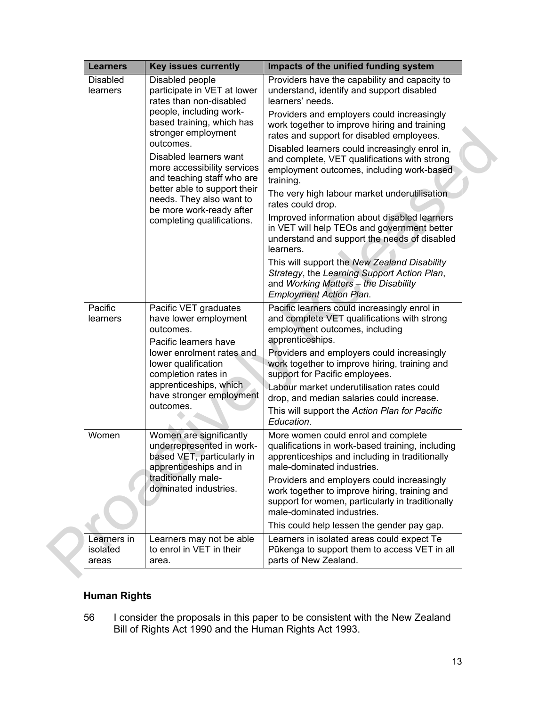| <b>Learners</b>                  | <b>Key issues currently</b>                                                                                  | Impacts of the unified funding system                                                                                                                                                 |
|----------------------------------|--------------------------------------------------------------------------------------------------------------|---------------------------------------------------------------------------------------------------------------------------------------------------------------------------------------|
| <b>Disabled</b><br>learners      | Disabled people<br>participate in VET at lower<br>rates than non-disabled                                    | Providers have the capability and capacity to<br>understand, identify and support disabled<br>learners' needs.                                                                        |
|                                  | people, including work-<br>based training, which has<br>stronger employment<br>outcomes.                     | Providers and employers could increasingly<br>work together to improve hiring and training<br>rates and support for disabled employees.                                               |
|                                  | Disabled learners want<br>more accessibility services<br>and teaching staff who are                          | Disabled learners could increasingly enrol in,<br>and complete, VET qualifications with strong<br>employment outcomes, including work-based<br>training.                              |
|                                  | better able to support their<br>needs. They also want to<br>be more work-ready after                         | The very high labour market underutilisation<br>rates could drop.                                                                                                                     |
|                                  | completing qualifications.                                                                                   | Improved information about disabled learners<br>in VET will help TEOs and government better<br>understand and support the needs of disabled<br>learners.                              |
|                                  |                                                                                                              | This will support the New Zealand Disability<br>Strategy, the Learning Support Action Plan,<br>and Working Matters - the Disability<br><b>Employment Action Plan.</b>                 |
| Pacific<br>learners              | Pacific VET graduates<br>have lower employment<br>outcomes.<br>Pacific learners have                         | Pacific learners could increasingly enrol in<br>and complete VET qualifications with strong<br>employment outcomes, including<br>apprenticeships.                                     |
|                                  | lower enrolment rates and<br>lower qualification<br>completion rates in                                      | Providers and employers could increasingly<br>work together to improve hiring, training and<br>support for Pacific employees.                                                         |
|                                  | apprenticeships, which<br>have stronger employment<br>outcomes.                                              | Labour market underutilisation rates could<br>drop, and median salaries could increase.<br>This will support the Action Plan for Pacific                                              |
| Women                            | Women are significantly<br>underrepresented in work-<br>based VET, particularly in<br>apprenticeships and in | Education.<br>More women could enrol and complete<br>qualifications in work-based training, including<br>apprenticeships and including in traditionally<br>male-dominated industries. |
|                                  | traditionally male-<br>dominated industries.                                                                 | Providers and employers could increasingly<br>work together to improve hiring, training and<br>support for women, particularly in traditionally<br>male-dominated industries.         |
|                                  |                                                                                                              | This could help lessen the gender pay gap.                                                                                                                                            |
| Learners in<br>isolated<br>areas | Learners may not be able<br>to enrol in VET in their<br>area.                                                | Learners in isolated areas could expect Te<br>Pūkenga to support them to access VET in all<br>parts of New Zealand.                                                                   |

# **Human Rights**

56 I consider the proposals in this paper to be consistent with the New Zealand Bill of Rights Act 1990 and the Human Rights Act 1993.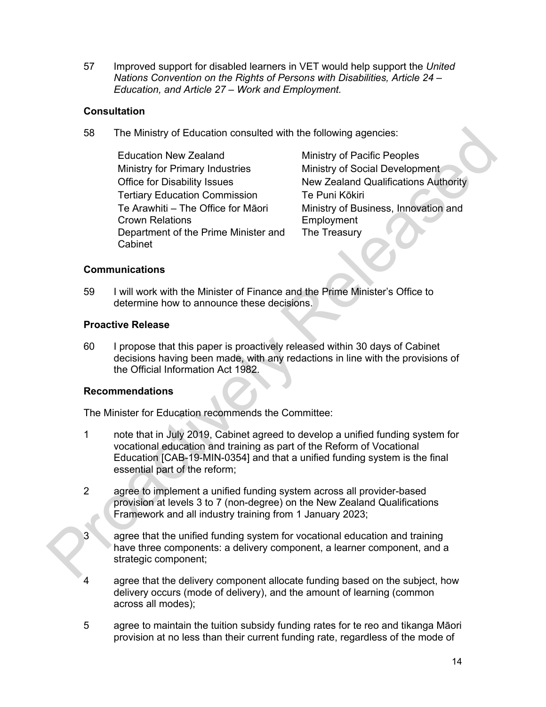57 Improved support for disabled learners in VET would help support the *United Nations Convention on the Rights of Persons with Disabilities, Article 24 – Education, and Article 27 – Work and Employment.* 

# **Consultation**

58 The Ministry of Education consulted with the following agencies:

Education New Zealand Ministry of Pacific Peoples Ministry for Primary Industries Ministry of Social Development Tertiary Education Commission Te Puni Kōkiri Te Arawhiti – The Office for Māori Crown Relations Department of the Prime Minister and Cabinet

Office for Disability Issues New Zealand Qualifications Authority Ministry of Business, Innovation and **Employment** The Treasury

# **Communications**

59 I will work with the Minister of Finance and the Prime Minister's Office to determine how to announce these decisions.

# **Proactive Release**

60 I propose that this paper is proactively released within 30 days of Cabinet decisions having been made, with any redactions in line with the provisions of the Official Information Act 1982.

#### **Recommendations**

The Minister for Education recommends the Committee:

- 1 note that in July 2019, Cabinet agreed to develop a unified funding system for vocational education and training as part of the Reform of Vocational Education [CAB-19-MIN-0354] and that a unified funding system is the final essential part of the reform; The Ministry of Education consulted with the following agencies:<br>
Education New Zealand Chinary of Pacific Peoples<br>
Ministry of Social Development<br>
Office for Disability Issues<br>
Nimistry of Social Development<br>
Office for D
	- 2 agree to implement a unified funding system across all provider-based provision at levels 3 to 7 (non-degree) on the New Zealand Qualifications Framework and all industry training from 1 January 2023;
	- 3 agree that the unified funding system for vocational education and training have three components: a delivery component, a learner component, and a strategic component;
	- 4 agree that the delivery component allocate funding based on the subject, how delivery occurs (mode of delivery), and the amount of learning (common across all modes);
	- 5 agree to maintain the tuition subsidy funding rates for te reo and tikanga Māori provision at no less than their current funding rate, regardless of the mode of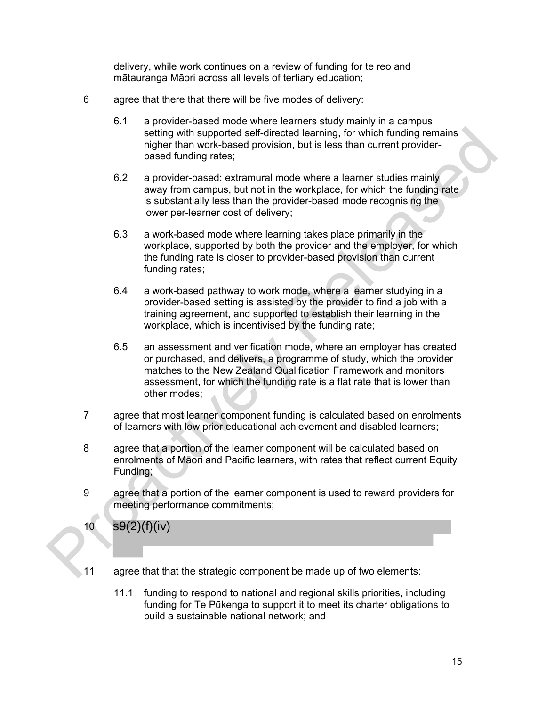delivery, while work continues on a review of funding for te reo and mātauranga Māori across all levels of tertiary education;

- 6 agree that there that there will be five modes of delivery:
	- 6.1 a provider-based mode where learners study mainly in a campus setting with supported self-directed learning, for which funding remains higher than work-based provision, but is less than current providerbased funding rates;
	- 6.2 a provider-based: extramural mode where a learner studies mainly away from campus, but not in the workplace, for which the funding rate is substantially less than the provider-based mode recognising the lower per-learner cost of delivery;
	- 6.3 a work-based mode where learning takes place primarily in the workplace, supported by both the provider and the employer, for which the funding rate is closer to provider-based provision than current funding rates;
	- 6.4 a work-based pathway to work mode, where a learner studying in a provider-based setting is assisted by the provider to find a job with a training agreement, and supported to establish their learning in the workplace, which is incentivised by the funding rate;
- 6.5 an assessment and verification mode, where an employer has created or purchased, and delivers, a programme of study, which the provider matches to the New Zealand Qualification Framework and monitors assessment, for which the funding rate is a flat rate that is lower than other modes; seling with supported self-directed teaming. for which funding remains<br>higher than work-based provision, but is less than current provider-<br>thased funding rates:<br>the state of the state and the team of the state of the stat
	- 7 agree that most learner component funding is calculated based on enrolments of learners with low prior educational achievement and disabled learners;
	- 8 agree that a portion of the learner component will be calculated based on enrolments of Māori and Pacific learners, with rates that reflect current Equity Funding;
	- 9 agree that a portion of the learner component is used to reward providers for meeting performance commitments;

s9(2)(f)(iv)

10

- 11 agree that that the strategic component be made up of two elements:
	- 11.1 funding to respond to national and regional skills priorities, including funding for Te Pūkenga to support it to meet its charter obligations to build a sustainable national network; and